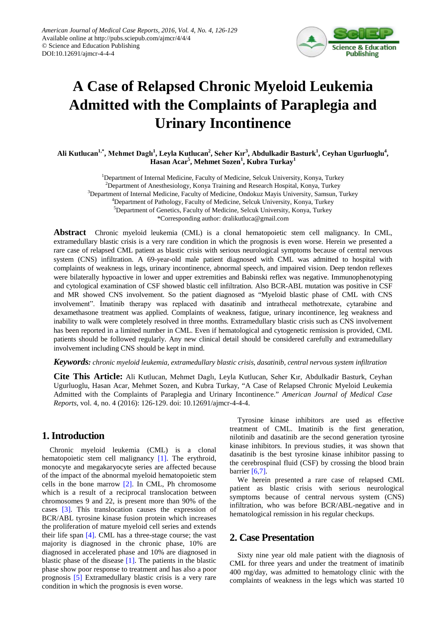

# **A Case of Relapsed Chronic Myeloid Leukemia Admitted with the Complaints of Paraplegia and Urinary Incontinence**

Ali Kutlucan<sup>1,\*</sup>, Mehmet Daglı<sup>1</sup>, Leyla Kutlucan<sup>2</sup>, Seher Kır<sup>3</sup>, Abdulkadir Basturk<sup>1</sup>, Ceyhan Ugurluoglu<sup>4</sup>, **Hasan Acar<sup>5</sup> , Mehmet Sozen<sup>1</sup> , Kubra Turkay<sup>1</sup>**

<sup>1</sup>Department of Internal Medicine, Faculty of Medicine, Selcuk University, Konya, Turkey <sup>2</sup>Department of Anesthesiology, Konya Training and Research Hospital, Konya, Turkey <sup>3</sup>Department of Internal Medicine, Faculty of Medicine, Ondokuz Mayis University, Samsun, Turkey <sup>4</sup>Department of Pathology, Faculty of Medicine, Selcuk University, Konya, Turkey 5 Department of Genetics, Faculty of Medicine, Selcuk University, Konya, Turkey \*Corresponding author: dralikutluca@gmail.com

**Abstract** Chronic myeloid leukemia (CML) is a clonal hematopoietic stem cell malignancy. In CML, extramedullary blastic crisis is a very rare condition in which the prognosis is even worse. Herein we presented a rare case of relapsed CML patient as blastic crisis with serious neurological symptoms because of central nervous system (CNS) infiltration. A 69-year-old male patient diagnosed with CML was admitted to hospital with complaints of weakness in legs, urinary incontinence, abnormal speech, and impaired vision. Deep tendon reflexes were bilaterally hypoactive in lower and upper extremities and Babinski reflex was negative. Immunophenotyping and cytological examination of CSF showed blastic cell infiltration. Also BCR-ABL mutation was positive in CSF and MR showed CNS involvement. So the patient diagnosed as "Myeloid blastic phase of CML with CNS involvement". İmatinib therapy was replaced with dasatinib and intrathecal methotrexate, cytarabine and dexamethasone treatment was applied. Complaints of weakness, fatigue, urinary incontinence, leg weakness and inability to walk were completely resolved in three months. Extramedullary blastic crisis such as CNS involvement has been reported in a limited number in CML. Even if hematological and cytogenetic remission is provided, CML patients should be followed regularly. Any new clinical detail should be considered carefully and extramedullary involvement including CNS should be kept in mind.

#### *Keywords: chronic myeloid leukemia, extramedullary blastic crisis, dasatinib, central nervous system infiltration*

**Cite This Article:** Ali Kutlucan, Mehmet Daglı, Leyla Kutlucan, Seher Kır, Abdulkadir Basturk, Ceyhan Ugurluoglu, Hasan Acar, Mehmet Sozen, and Kubra Turkay, "A Case of Relapsed Chronic Myeloid Leukemia Admitted with the Complaints of Paraplegia and Urinary Incontinence." *American Journal of Medical Case Reports*, vol. 4, no. 4 (2016): 126-129. doi: 10.12691/ajmcr-4-4-4.

# **1. Introduction**

Chronic myeloid leukemia (CML) is a clonal hematopoietic stem cell malignancy [\[1\].](#page-3-0) The erythroid, monocyte and megakaryocyte series are affected because of the impact of the abnormal myeloid hematopoietic stem cells in the bone marrow [\[2\].](#page-3-1) In CML, Ph chromosome which is a result of a reciprocal translocation between chromosomes 9 and 22, is present more than 90% of the cases [\[3\].](#page-3-2) This translocation causes the expression of BCR/ABL tyrosine kinase fusion protein which increases the proliferation of mature myeloid cell series and extends their life span [\[4\].](#page-3-3) CML has a three-stage course; the vast majority is diagnosed in the chronic phase, 10% are diagnosed in accelerated phase and 10% are diagnosed in blastic phase of the disease  $[1]$ . The patients in the blastic phase show poor response to treatment and has also a poor prognosis [\[5\]](#page-3-4) Extramedullary blastic crisis is a very rare condition in which the prognosis is even worse.

Tyrosine kinase inhibitors are used as effective treatment of CML. Imatinib is the first generation, nilotinib and dasatinib are the second generation tyrosine kinase inhibitors. In previous studies, it was shown that dasatinib is the best tyrosine kinase inhibitor passing to the cerebrospinal fluid (CSF) by crossing the blood brain barrier [\[6,7\].](#page-3-5)

We herein presented a rare case of relapsed CML patient as blastic crisis with serious neurological symptoms because of central nervous system (CNS) infiltration, who was before BCR/ABL-negative and in hematological remission in his regular checkups.

# **2. Case Presentation**

Sixty nine year old male patient with the diagnosis of CML for three years and under the treatment of imatinib 400 mg/day, was admitted to hematology clinic with the complaints of weakness in the legs which was started 10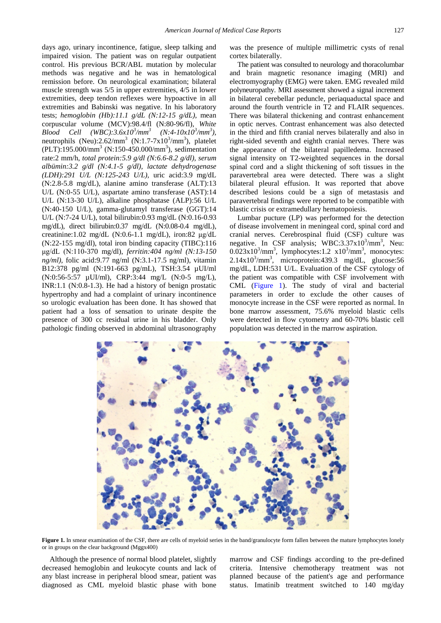days ago, urinary incontinence, fatigue, sleep talking and impaired vision. The patient was on regular outpatient control. His previous BCR/ABL mutation by molecular methods was negative and he was in hematological remission before. On neurological examination; bilateral muscle strength was 5/5 in upper extremities, 4/5 in lower extremities, deep tendon reflexes were hypoactive in all extremities and Babinski was negative. In his laboratory tests; *hemoglobin (Hb):11.1 g/dL (N:12-15 g/dL)*, mean corpuscular volume (MCV):98.4/fl (N:80-96/fl), *White Blood Cell (WBC):3.6x10<sup>3</sup> /mm<sup>3</sup> (N:4-10x10<sup>3</sup> /mm<sup>3</sup> ),* neutrophils (Neu):2.62/mm<sup>3</sup> (N:1.7-7x10<sup>3</sup>/mm<sup>3</sup>), platelet (PLT):195.000/mm<sup>3</sup> (N:150-450.000/mm<sup>3</sup>), sedimentation rate:2 mm/h, *total protein:5.9 g/dl (N:6.6-8.2 g/dl), serum albümin:3.2 g/dl (N:4.1-5 g/dl), lactate dehydrogenase (LDH):291 U/L (N:125-243 U/L),* uric acid:3.9 mg/dL (N:2.8-5.8 mg/dL), alanine amino transferase (ALT):13 U/L (N:0-55 U/L), aspartate amino transferase (AST):14 U/L (N:13-30 U/L), alkaline phosphatase (ALP):56 U/L (N:40-150 U/L), gamma-glutamyl transferase (GGT):14 U/L (N:7-24 U/L), total bilirubin:0.93 mg/dL (N:0.16-0.93 mg/dL), direct bilirubin:0.37 mg/dL (N:0.08-0.4 mg/dL), creatinine:1.02 mg/dL (N:0.6-1.1 mg/dL), iron:82 μg/dL (N:22-155 mg/dl), total iron binding capacity (TIBC):116 μg/dL (N:110-370 mg/dl), *ferritin:404 ng/ml (N:13-150 ng/ml),* folic acid:9.77 ng/ml (N:3.1-17.5 ng/ml), vitamin B12:378 pg/ml (N:191-663 pg/mL), TSH:3.54 µUI/ml (N:0:56-5:57 µUI/ml), CRP:3:44 mg/L (N:0-5 mg/L), INR:1.1 (N:0.8-1.3). He had a history of benign prostatic hypertrophy and had a complaint of urinary incontinence so urologic evaluation has been done. It has showed that patient had a loss of sensation to urinate despite the presence of 300 cc residual urine in his bladder. Only pathologic finding observed in abdominal ultrasonography

was the presence of multiple millimetric cysts of renal cortex bilaterally.

The patient was consulted to neurology and thoracolumbar and brain magnetic resonance imaging (MRI) and electromyography (EMG) were taken. EMG revealed mild polyneuropathy. MRI assessment showed a signal increment in bilateral cerebellar peduncle, periaquaductal space and around the fourth ventricle in T2 and FLAIR sequences. There was bilateral thickening and contrast enhancement in optic nerves. Contrast enhancement was also detected in the third and fifth cranial nerves bilaterally and also in right-sided seventh and eighth cranial nerves. There was the appearance of the bilateral papilledema. Increased signal intensity on T2-weighted sequences in the dorsal spinal cord and a slight thickening of soft tissues in the paravertebral area were detected. There was a slight bilateral pleural effusion. It was reported that above described lesions could be a sign of metastasis and paravertebral findings were reported to be compatible with blastic crisis or extramedullary hematopoiesis.

Lumbar pucture (LP) was performed for the detection of disease involvement in meningeal cord, spinal cord and cranial nerves. Cerebrospinal fluid (CSF) culture was negative. In CSF analysis; WBC:3.37x10<sup>3</sup>/mm<sup>3</sup>, Neu:  $0.023 \times 10^3/\text{mm}^3$ , lymphocytes:1.2  $\times 10^3/\text{mm}^3$ , monocytes:  $2.14 \times 10^3/\text{mm}^3$ , microprotein: 439.3 mg/dL, glucose: 56 mg/dL, LDH:531 U/L. Evaluation of the CSF cytology of the patient was compatible with CSF involvement with CML [\(Figure 1\)](#page-1-0). The study of viral and bacterial parameters in order to exclude the other causes of monocyte increase in the CSF were reported as normal. In bone marrow assessment, 75.6% myeloid blastic cells were detected in flow cytometry and 60-70% blastic cell population was detected in the marrow aspiration.

<span id="page-1-0"></span>

Figure 1. In smear examination of the CSF, there are cells of myeloid series in the band/granulocyte form fallen between the mature lymphocytes lonely or in groups on the clear background (Mggx400)

Although the presence of normal blood platelet, slightly decreased hemoglobin and leukocyte counts and lack of any blast increase in peripheral blood smear, patient was diagnosed as CML myeloid blastic phase with bone marrow and CSF findings according to the pre-defined criteria. Intensive chemotherapy treatment was not planned because of the patient's age and performance status. Imatinib treatment switched to 140 mg/day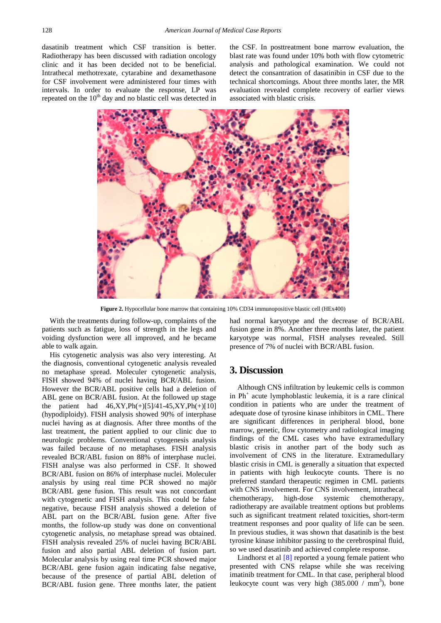dasatinib treatment which CSF transition is better. Radiotherapy has been discussed with radiation oncology clinic and it has been decided not to be beneficial. Intrathecal methotrexate, cytarabine and dexamethasone for CSF involvement were administered four times with intervals. In order to evaluate the response, LP was repeated on the  $10<sup>th</sup>$  day and no blastic cell was detected in

the CSF. In posttreatment bone marrow evaluation, the blast rate was found under 10% both with flow cytometric analysis and pathological examination. We could not detect the consantration of dasatinibin in CSF due to the technical shortcomings. About three months later, the MR evaluation revealed complete recovery of earlier views associated with blastic crisis.



**Figure 2.** Hypocellular bone marrow that containing 10% CD34 immunopositive blastic cell (HEx400)

With the treatments during follow-up, complaints of the patients such as fatigue, loss of strength in the legs and voiding dysfunction were all improved, and he became able to walk again.

His cytogenetic analysis was also very interesting. At the diagnosis, conventional cytogenetic analysis revealed no metaphase spread. Moleculer cytogenetic analysis, FISH showed 94% of nuclei having BCR/ABL fusion. However the BCR/ABL positive cells had a deletion of ABL gene on BCR/ABL fusion. At the followed up stage the patient had  $46, XY, Ph(+)[5]/41-45, XY, Ph(+)[10]$ (hypodiploidy). FISH analysis showed 90% of interphase nuclei having as at diagnosis. After three months of the last treatment, the patient applied to our clinic due to neurologic problems. Conventional cytogenesis analysis was failed because of no metaphases. FISH analysis revealed BCR/ABL fusion on 88% of interphase nuclei. FISH analyse was also performed in CSF. It showed BCR/ABL fusion on 86% of interphase nuclei. Moleculer analysis by using real time PCR showed no majör BCR/ABL gene fusion. This result was not concordant with cytogenetic and FISH analysis. This could be false negative, because FISH analysis showed a deletion of ABL part on the BCR/ABL fusion gene. After five months, the follow-up study was done on conventional cytogenetic analysis, no metaphase spread was obtained. FISH analysis revealed 25% of nuclei having BCR/ABL fusion and also partial ABL deletion of fusion part. Molecular analysis by using real time PCR showed major BCR/ABL gene fusion again indicating false negative, because of the presence of partial ABL deletion of BCR/ABL fusion gene. Three months later, the patient had normal karyotype and the decrease of BCR/ABL fusion gene in 8%. Another three months later, the patient karyotype was normal, FISH analyses revealed. Still presence of 7% of nuclei with BCR/ABL fusion.

#### **3. Discussion**

Although CNS infiltration by leukemic cells is common in Ph<sup>+</sup> acute lymphoblastic leukemia, it is a rare clinical condition in patients who are under the treatment of adequate dose of tyrosine kinase inhibitors in CML. There are significant differences in peripheral blood, bone marrow, genetic, flow cytometry and radiological imaging findings of the CML cases who have extramedullary blastic crisis in another part of the body such as involvement of CNS in the literature. Extramedullary blastic crisis in CML is generally a situation that expected in patients with high leukocyte counts. There is no preferred standard therapeutic regimen in CML patients with CNS involvement. For CNS involvement, intrathecal chemotherapy, high-dose systemic chemotherapy, radiotherapy are available treatment options but problems such as significant treatment related toxicities, short-term treatment responses and poor quality of life can be seen. In previous studies, it was shown that dasatinib is the best tyrosine kinase inhibitor passing to the cerebrospinal fluid, so we used dasatinib and achieved complete response.

Lindhorst et al [\[8\]](#page-3-6) reported a young female patient who presented with CNS relapse while she was receiving imatinib treatment for CML. In that case, peripheral blood leukocyte count was very high  $(385.000 / mm^3)$ , bone